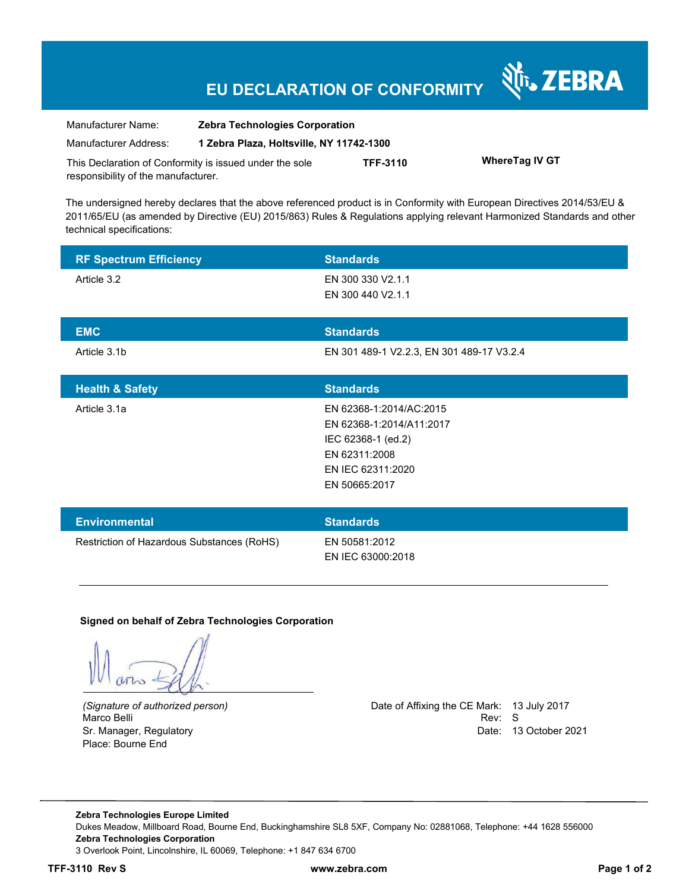# **EU DECLARATION OF CONFORMITY**

| Manufacturer Name:                                      | <b>Zebra Technologies Corporation</b>    |                 |                       |  |
|---------------------------------------------------------|------------------------------------------|-----------------|-----------------------|--|
| Manufacturer Address:                                   | 1 Zebra Plaza, Holtsville, NY 11742-1300 |                 |                       |  |
| This Declaration of Conformity is issued under the sole |                                          | <b>TFF-3110</b> | <b>WhereTag IV GT</b> |  |
| responsibility of the manufacturer.                     |                                          |                 |                       |  |

The undersigned hereby declares that the above referenced product is in Conformity with European Directives 2014/53/EU & 2011/65/EU (as amended by Directive (EU) 2015/863) Rules & Regulations applying relevant Harmonized Standards and other technical specifications:

| <b>RF Spectrum Efficiency</b>              | <b>Standards</b>                          |
|--------------------------------------------|-------------------------------------------|
| Article 3.2                                | EN 300 330 V2.1.1                         |
|                                            | EN 300 440 V2.1.1                         |
| <b>EMC</b>                                 | <b>Standards</b>                          |
| Article 3.1b                               | EN 301 489-1 V2.2.3, EN 301 489-17 V3.2.4 |
|                                            |                                           |
| <b>Health &amp; Safety</b>                 | <b>Standards</b>                          |
| Article 3.1a                               | EN 62368-1:2014/AC:2015                   |
|                                            | EN 62368-1:2014/A11:2017                  |
|                                            | IEC 62368-1 (ed.2)                        |
|                                            | EN 62311:2008                             |
|                                            | EN IEC 62311:2020                         |
|                                            | EN 50665:2017                             |
|                                            |                                           |
| <b>Environmental</b>                       | <b>Standards</b>                          |
| Restriction of Hazardous Substances (RoHS) | EN 50581:2012                             |
|                                            | EN IEC 63000:2018                         |

#### **Signed on behalf of Zebra Technologies Corporation**

Marco Belli Place: Bourne End

*(Signature of authorized person)* Date of Affixing the CE Mark: 13 July 2017 Sr. Manager, Regulatory Date: 13 October 2021

र्शे<sub>ि</sub> ZEBRA

**Zebra Technologies Europe Limited**  Dukes Meadow, Millboard Road, Bourne End, Buckinghamshire SL8 5XF, Company No: 02881068, Telephone: +44 1628 556000 **Zebra Technologies Corporation**  3 Overlook Point, Lincolnshire, IL 60069, Telephone: +1 847 634 6700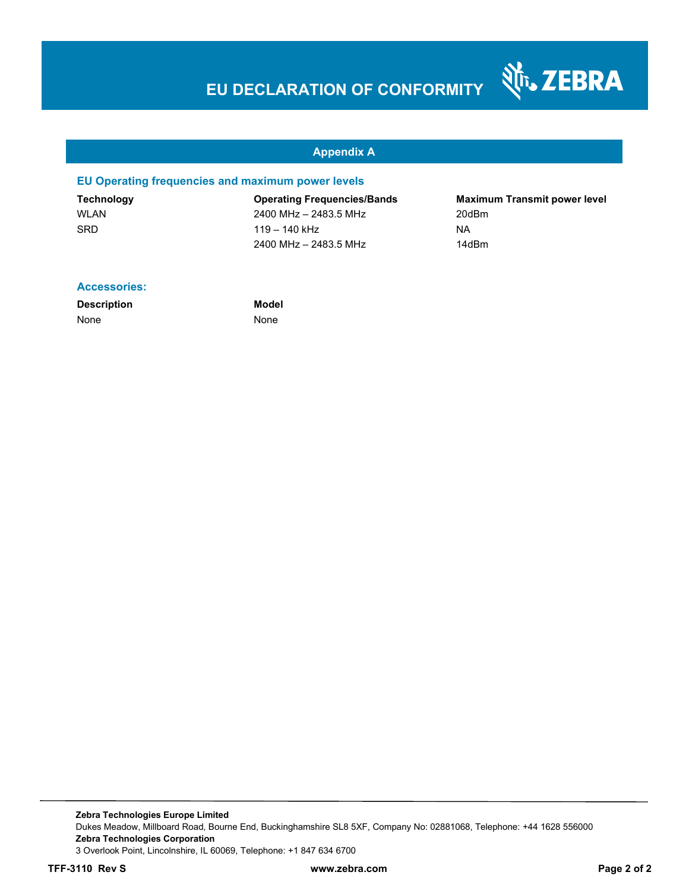# **EU DECLARATION OF CONFORMITY**

#### **Appendix A**

#### **EU Operating frequencies and maximum power levels**

WLAN 2400 MHz – 2483.5 MHz 200Bm SRD 119 – 140 kHz NA 2400 MHz – 2483.5 MHz 14dBm

**Technology Operating Frequencies/Bands Maximum Transmit power level** 

Nr. ZEBRA

#### **Accessories:**

**Description Model** None None